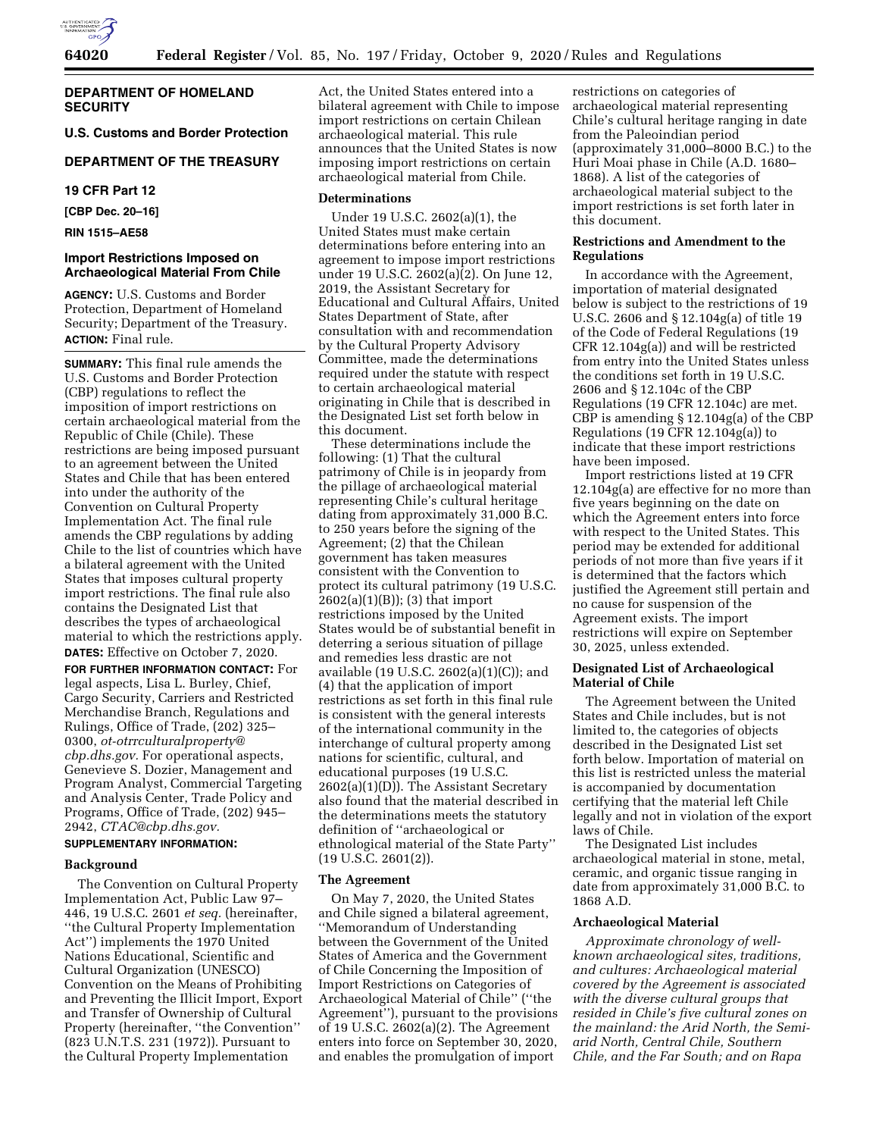

## **DEPARTMENT OF HOMELAND SECURITY**

**U.S. Customs and Border Protection** 

# **DEPARTMENT OF THE TREASURY**

**19 CFR Part 12** 

**[CBP Dec. 20–16]** 

**RIN 1515–AE58** 

## **Import Restrictions Imposed on Archaeological Material From Chile**

**AGENCY:** U.S. Customs and Border Protection, Department of Homeland Security; Department of the Treasury. **ACTION:** Final rule.

**SUMMARY:** This final rule amends the U.S. Customs and Border Protection (CBP) regulations to reflect the imposition of import restrictions on certain archaeological material from the Republic of Chile (Chile). These restrictions are being imposed pursuant to an agreement between the United States and Chile that has been entered into under the authority of the Convention on Cultural Property Implementation Act. The final rule amends the CBP regulations by adding Chile to the list of countries which have a bilateral agreement with the United States that imposes cultural property import restrictions. The final rule also contains the Designated List that describes the types of archaeological material to which the restrictions apply. **DATES:** Effective on October 7, 2020.

**FOR FURTHER INFORMATION CONTACT:** For legal aspects, Lisa L. Burley, Chief, Cargo Security, Carriers and Restricted Merchandise Branch, Regulations and Rulings, Office of Trade, (202) 325– 0300, *[ot-otrrculturalproperty@](mailto:ot-otrrculturalproperty@cbp.dhs.gov) [cbp.dhs.gov.](mailto:ot-otrrculturalproperty@cbp.dhs.gov)* For operational aspects, Genevieve S. Dozier, Management and Program Analyst, Commercial Targeting and Analysis Center, Trade Policy and Programs, Office of Trade, (202) 945– 2942, *[CTAC@cbp.dhs.gov.](mailto:CTAC@cbp.dhs.gov)* 

# **SUPPLEMENTARY INFORMATION:**

### **Background**

The Convention on Cultural Property Implementation Act, Public Law 97– 446, 19 U.S.C. 2601 *et seq.* (hereinafter, ''the Cultural Property Implementation Act'') implements the 1970 United Nations Educational, Scientific and Cultural Organization (UNESCO) Convention on the Means of Prohibiting and Preventing the Illicit Import, Export and Transfer of Ownership of Cultural Property (hereinafter, ''the Convention'' (823 U.N.T.S. 231 (1972)). Pursuant to the Cultural Property Implementation

Act, the United States entered into a bilateral agreement with Chile to impose import restrictions on certain Chilean archaeological material. This rule announces that the United States is now imposing import restrictions on certain archaeological material from Chile.

### **Determinations**

Under 19 U.S.C. 2602(a)(1), the United States must make certain determinations before entering into an agreement to impose import restrictions under 19 U.S.C. 2602(a)(2). On June 12, 2019, the Assistant Secretary for Educational and Cultural Affairs, United States Department of State, after consultation with and recommendation by the Cultural Property Advisory Committee, made the determinations required under the statute with respect to certain archaeological material originating in Chile that is described in the Designated List set forth below in this document.

These determinations include the following: (1) That the cultural patrimony of Chile is in jeopardy from the pillage of archaeological material representing Chile's cultural heritage dating from approximately 31,000 B.C. to 250 years before the signing of the Agreement; (2) that the Chilean government has taken measures consistent with the Convention to protect its cultural patrimony (19 U.S.C. 2602(a)(1)(B)); (3) that import restrictions imposed by the United States would be of substantial benefit in deterring a serious situation of pillage and remedies less drastic are not available (19 U.S.C. 2602(a)(1)(C)); and (4) that the application of import restrictions as set forth in this final rule is consistent with the general interests of the international community in the interchange of cultural property among nations for scientific, cultural, and educational purposes (19 U.S.C. 2602(a)(1)(D)). The Assistant Secretary also found that the material described in the determinations meets the statutory definition of ''archaeological or ethnological material of the State Party''  $(19 \text{ U.S.C. } 2601(2))$ .

#### **The Agreement**

On May 7, 2020, the United States and Chile signed a bilateral agreement, ''Memorandum of Understanding between the Government of the United States of America and the Government of Chile Concerning the Imposition of Import Restrictions on Categories of Archaeological Material of Chile'' (''the Agreement''), pursuant to the provisions of 19 U.S.C. 2602(a)(2). The Agreement enters into force on September 30, 2020, and enables the promulgation of import

restrictions on categories of archaeological material representing Chile's cultural heritage ranging in date from the Paleoindian period (approximately  $31,000-8000$  B.C.) to the Huri Moai phase in Chile (A.D. 1680– 1868). A list of the categories of archaeological material subject to the import restrictions is set forth later in this document.

### **Restrictions and Amendment to the Regulations**

In accordance with the Agreement, importation of material designated below is subject to the restrictions of 19 U.S.C. 2606 and § 12.104g(a) of title 19 of the Code of Federal Regulations (19 CFR 12.104g(a)) and will be restricted from entry into the United States unless the conditions set forth in 19 U.S.C. 2606 and § 12.104c of the CBP Regulations (19 CFR 12.104c) are met. CBP is amending § 12.104g(a) of the CBP Regulations (19 CFR 12.104g(a)) to indicate that these import restrictions have been imposed.

Import restrictions listed at 19 CFR 12.104g(a) are effective for no more than five years beginning on the date on which the Agreement enters into force with respect to the United States. This period may be extended for additional periods of not more than five years if it is determined that the factors which justified the Agreement still pertain and no cause for suspension of the Agreement exists. The import restrictions will expire on September 30, 2025, unless extended.

## **Designated List of Archaeological Material of Chile**

The Agreement between the United States and Chile includes, but is not limited to, the categories of objects described in the Designated List set forth below. Importation of material on this list is restricted unless the material is accompanied by documentation certifying that the material left Chile legally and not in violation of the export laws of Chile.

The Designated List includes archaeological material in stone, metal, ceramic, and organic tissue ranging in date from approximately 31,000 B.C. to 1868 A.D.

## **Archaeological Material**

*Approximate chronology of wellknown archaeological sites, traditions, and cultures: Archaeological material covered by the Agreement is associated with the diverse cultural groups that resided in Chile's five cultural zones on the mainland: the Arid North, the Semiarid North, Central Chile, Southern Chile, and the Far South; and on Rapa*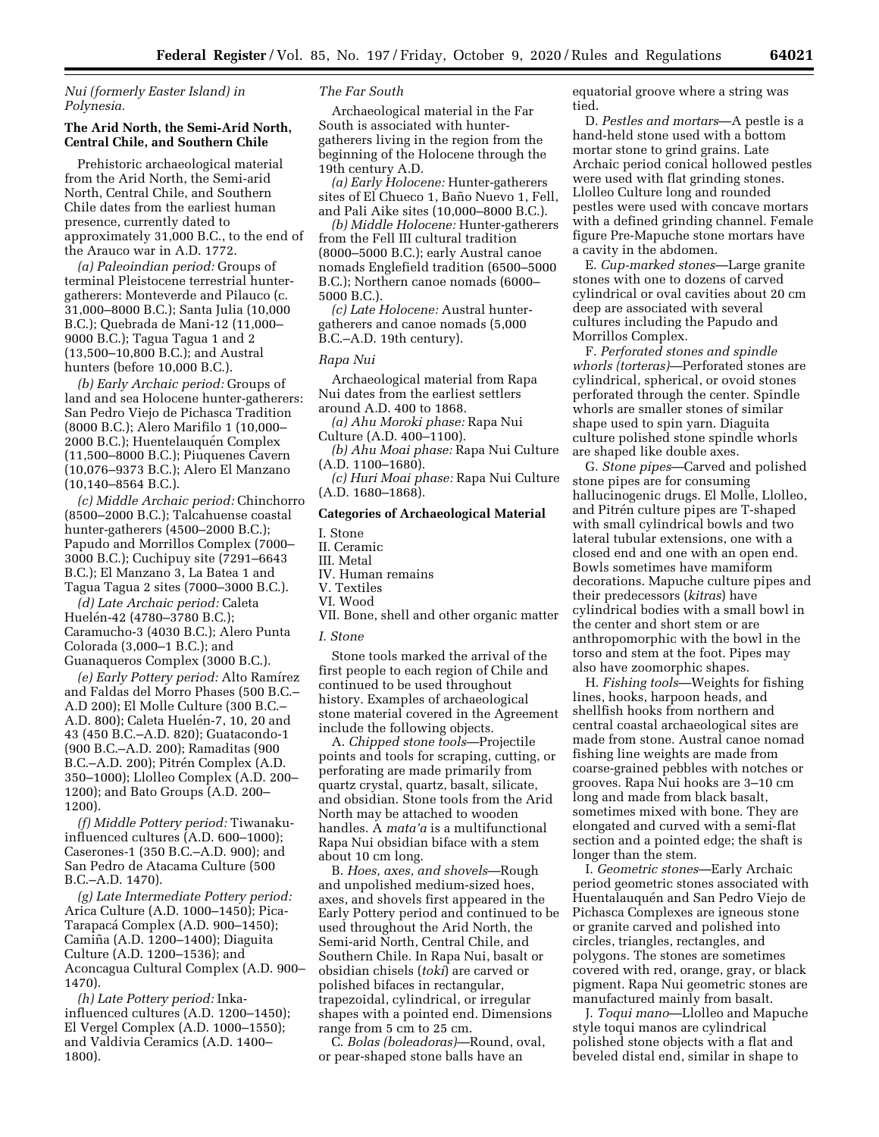*Nui (formerly Easter Island) in Polynesia.* 

## **The Arid North, the Semi-Arid North, Central Chile, and Southern Chile**

Prehistoric archaeological material from the Arid North, the Semi-arid North, Central Chile, and Southern Chile dates from the earliest human presence, currently dated to approximately 31,000 B.C., to the end of the Arauco war in A.D. 1772.

*(a) Paleoindian period:* Groups of terminal Pleistocene terrestrial huntergatherers: Monteverde and Pilauco (c. 31,000–8000 B.C.); Santa Julia (10,000 B.C.); Quebrada de Mani-12 (11,000– 9000 B.C.); Tagua Tagua 1 and 2 (13,500–10,800 B.C.); and Austral hunters (before 10,000 B.C.).

*(b) Early Archaic period:* Groups of land and sea Holocene hunter-gatherers: San Pedro Viejo de Pichasca Tradition (8000 B.C.); Alero Marifilo 1 (10,000– 2000 B.C.); Huentelauquén Complex (11,500–8000 B.C.); Piuquenes Cavern (10,076–9373 B.C.); Alero El Manzano (10,140–8564 B.C.).

*(c) Middle Archaic period:* Chinchorro (8500–2000 B.C.); Talcahuense coastal hunter-gatherers (4500–2000 B.C.); Papudo and Morrillos Complex (7000– 3000 B.C.); Cuchipuy site (7291–6643 B.C.); El Manzano 3, La Batea 1 and Tagua Tagua 2 sites (7000–3000 B.C.).

*(d) Late Archaic period:* Caleta Huelén-42 (4780–3780 B.C.); Caramucho-3 (4030 B.C.); Alero Punta Colorada (3,000–1 B.C.); and Guanaqueros Complex (3000 B.C.).

*(e) Early Pottery period:* Alto Ramı´rez and Faldas del Morro Phases (500 B.C.– A.D 200); El Molle Culture (300 B.C.– A.D. 800); Caleta Huelén-7, 10, 20 and 43 (450 B.C.–A.D. 820); Guatacondo-1 (900 B.C.–A.D. 200); Ramaditas (900 B.C.–A.D. 200); Pitrén Complex (A.D. 350–1000); Llolleo Complex (A.D. 200– 1200); and Bato Groups (A.D. 200– 1200).

*(f) Middle Pottery period:* Tiwanakuinfluenced cultures (A.D. 600–1000); Caserones-1 (350 B.C.–A.D. 900); and San Pedro de Atacama Culture (500 B.C.–A.D. 1470).

*(g) Late Intermediate Pottery period:*  Arica Culture (A.D. 1000–1450); Pica-Tarapacá Complex (A.D. 900–1450); Camiña (A.D. 1200-1400); Diaguita Culture (A.D. 1200–1536); and Aconcagua Cultural Complex (A.D. 900– 1470).

*(h) Late Pottery period:* Inkainfluenced cultures (A.D. 1200–1450); El Vergel Complex (A.D. 1000–1550); and Valdivia Ceramics (A.D. 1400– 1800).

### *The Far South*

Archaeological material in the Far South is associated with huntergatherers living in the region from the beginning of the Holocene through the 19th century A.D.

*(a) Early Holocene:* Hunter-gatherers sites of El Chueco 1, Baño Nuevo 1, Fell, and Pali Aike sites (10,000–8000 B.C.).

*(b) Middle Holocene:* Hunter-gatherers from the Fell III cultural tradition (8000–5000 B.C.); early Austral canoe nomads Englefield tradition (6500–5000 B.C.); Northern canoe nomads (6000– 5000 B.C.).

*(c) Late Holocene:* Austral huntergatherers and canoe nomads (5,000 B.C.–A.D. 19th century).

## *Rapa Nui*

Archaeological material from Rapa Nui dates from the earliest settlers around A.D. 400 to 1868.

*(a) Ahu Moroki phase:* Rapa Nui Culture (A.D. 400–1100).

*(b) Ahu Moai phase:* Rapa Nui Culture (A.D. 1100–1680).

*(c) Huri Moai phase:* Rapa Nui Culture (A.D. 1680–1868).

## **Categories of Archaeological Material**

- I. Stone II. Ceramic III. Metal
- IV. Human remains
- V. Textiles
- VI. Wood
- VII. Bone, shell and other organic matter

## *I. Stone*

Stone tools marked the arrival of the first people to each region of Chile and continued to be used throughout history. Examples of archaeological stone material covered in the Agreement include the following objects.

A. *Chipped stone tools*—Projectile points and tools for scraping, cutting, or perforating are made primarily from quartz crystal, quartz, basalt, silicate, and obsidian. Stone tools from the Arid North may be attached to wooden handles. A *mata'a* is a multifunctional Rapa Nui obsidian biface with a stem about 10 cm long.

B. *Hoes, axes, and shovels*—Rough and unpolished medium-sized hoes, axes, and shovels first appeared in the Early Pottery period and continued to be used throughout the Arid North, the Semi-arid North, Central Chile, and Southern Chile. In Rapa Nui, basalt or obsidian chisels (*toki*) are carved or polished bifaces in rectangular, trapezoidal, cylindrical, or irregular shapes with a pointed end. Dimensions range from 5 cm to 25 cm.

C. *Bolas (boleadoras)*—Round, oval, or pear-shaped stone balls have an

equatorial groove where a string was tied.

D. *Pestles and mortars*—A pestle is a hand-held stone used with a bottom mortar stone to grind grains. Late Archaic period conical hollowed pestles were used with flat grinding stones. Llolleo Culture long and rounded pestles were used with concave mortars with a defined grinding channel. Female figure Pre-Mapuche stone mortars have a cavity in the abdomen.

E. *Cup-marked stones*—Large granite stones with one to dozens of carved cylindrical or oval cavities about 20 cm deep are associated with several cultures including the Papudo and Morrillos Complex.

F. *Perforated stones and spindle whorls (torteras)*—Perforated stones are cylindrical, spherical, or ovoid stones perforated through the center. Spindle whorls are smaller stones of similar shape used to spin yarn. Diaguita culture polished stone spindle whorls are shaped like double axes.

G. *Stone pipes*—Carved and polished stone pipes are for consuming hallucinogenic drugs. El Molle, Llolleo, and Pitrén culture pipes are T-shaped with small cylindrical bowls and two lateral tubular extensions, one with a closed end and one with an open end. Bowls sometimes have mamiform decorations. Mapuche culture pipes and their predecessors (*kitras*) have cylindrical bodies with a small bowl in the center and short stem or are anthropomorphic with the bowl in the torso and stem at the foot. Pipes may also have zoomorphic shapes.

H. *Fishing tools*—Weights for fishing lines, hooks, harpoon heads, and shellfish hooks from northern and central coastal archaeological sites are made from stone. Austral canoe nomad fishing line weights are made from coarse-grained pebbles with notches or grooves. Rapa Nui hooks are 3–10 cm long and made from black basalt, sometimes mixed with bone. They are elongated and curved with a semi-flat section and a pointed edge; the shaft is longer than the stem.

I. *Geometric stones*—Early Archaic period geometric stones associated with Huentalauquén and San Pedro Viejo de Pichasca Complexes are igneous stone or granite carved and polished into circles, triangles, rectangles, and polygons. The stones are sometimes covered with red, orange, gray, or black pigment. Rapa Nui geometric stones are manufactured mainly from basalt.

J. *Toqui mano*—Llolleo and Mapuche style toqui manos are cylindrical polished stone objects with a flat and beveled distal end, similar in shape to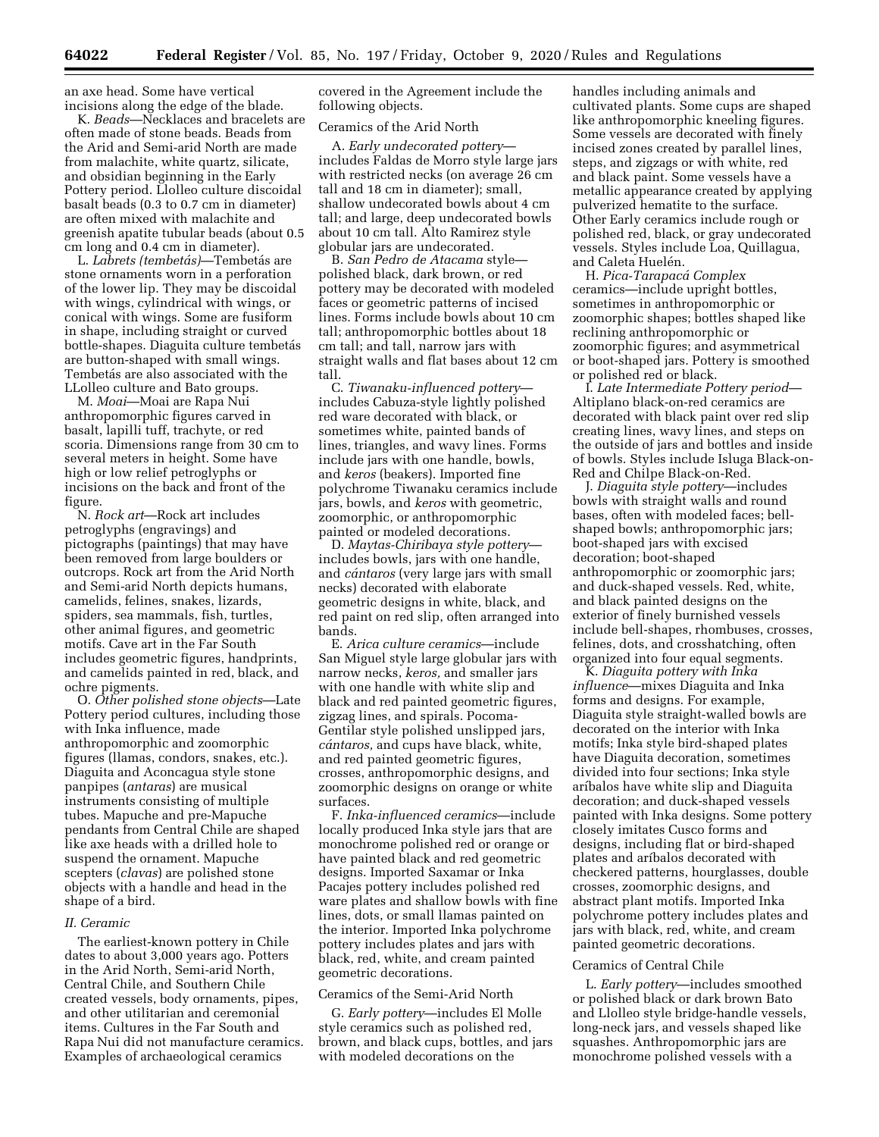an axe head. Some have vertical incisions along the edge of the blade.

K. *Beads*—Necklaces and bracelets are often made of stone beads. Beads from the Arid and Semi-arid North are made from malachite, white quartz, silicate, and obsidian beginning in the Early Pottery period. Llolleo culture discoidal basalt beads (0.3 to 0.7 cm in diameter) are often mixed with malachite and greenish apatite tubular beads (about 0.5 cm long and 0.4 cm in diameter).

L. *Labrets (tembeta´ s)*—Tembeta´s are stone ornaments worn in a perforation of the lower lip. They may be discoidal with wings, cylindrical with wings, or conical with wings. Some are fusiform in shape, including straight or curved bottle-shapes. Diaguita culture tembetás are button-shaped with small wings. Tembetás are also associated with the LLolleo culture and Bato groups.

M. *Moai*—Moai are Rapa Nui anthropomorphic figures carved in basalt, lapilli tuff, trachyte, or red scoria. Dimensions range from 30 cm to several meters in height. Some have high or low relief petroglyphs or incisions on the back and front of the figure.

N. *Rock art*—Rock art includes petroglyphs (engravings) and pictographs (paintings) that may have been removed from large boulders or outcrops. Rock art from the Arid North and Semi-arid North depicts humans, camelids, felines, snakes, lizards, spiders, sea mammals, fish, turtles, other animal figures, and geometric motifs. Cave art in the Far South includes geometric figures, handprints, and camelids painted in red, black, and ochre pigments.

O. *Other polished stone objects*—Late Pottery period cultures, including those with Inka influence, made anthropomorphic and zoomorphic figures (llamas, condors, snakes, etc.). Diaguita and Aconcagua style stone panpipes (*antaras*) are musical instruments consisting of multiple tubes. Mapuche and pre-Mapuche pendants from Central Chile are shaped like axe heads with a drilled hole to suspend the ornament. Mapuche scepters (*clavas*) are polished stone objects with a handle and head in the shape of a bird.

### *II. Ceramic*

The earliest-known pottery in Chile dates to about 3,000 years ago. Potters in the Arid North, Semi-arid North, Central Chile, and Southern Chile created vessels, body ornaments, pipes, and other utilitarian and ceremonial items. Cultures in the Far South and Rapa Nui did not manufacture ceramics. Examples of archaeological ceramics

covered in the Agreement include the following objects.

### Ceramics of the Arid North

A. *Early undecorated pottery* includes Faldas de Morro style large jars with restricted necks (on average 26 cm tall and 18 cm in diameter); small, shallow undecorated bowls about 4 cm tall; and large, deep undecorated bowls about 10 cm tall. Alto Ramirez style globular jars are undecorated.

B. *San Pedro de Atacama* style polished black, dark brown, or red pottery may be decorated with modeled faces or geometric patterns of incised lines. Forms include bowls about 10 cm tall; anthropomorphic bottles about 18 cm tall; and tall, narrow jars with straight walls and flat bases about 12 cm tall.

C. *Tiwanaku-influenced pottery* includes Cabuza-style lightly polished red ware decorated with black, or sometimes white, painted bands of lines, triangles, and wavy lines. Forms include jars with one handle, bowls, and *keros* (beakers). Imported fine polychrome Tiwanaku ceramics include jars, bowls, and *keros* with geometric, zoomorphic, or anthropomorphic painted or modeled decorations.

D. *Maytas-Chiribaya style pottery* includes bowls, jars with one handle, and *cántaros* (very large jars with small necks) decorated with elaborate geometric designs in white, black, and red paint on red slip, often arranged into bands.

E. *Arica culture ceramics*—include San Miguel style large globular jars with narrow necks, *keros,* and smaller jars with one handle with white slip and black and red painted geometric figures, zigzag lines, and spirals. Pocoma-Gentilar style polished unslipped jars, *ca´ntaros,* and cups have black, white, and red painted geometric figures, crosses, anthropomorphic designs, and zoomorphic designs on orange or white surfaces.

F. *Inka-influenced ceramics*—include locally produced Inka style jars that are monochrome polished red or orange or have painted black and red geometric designs. Imported Saxamar or Inka Pacajes pottery includes polished red ware plates and shallow bowls with fine lines, dots, or small llamas painted on the interior. Imported Inka polychrome pottery includes plates and jars with black, red, white, and cream painted geometric decorations.

#### Ceramics of the Semi-Arid North

G. *Early pottery*—includes El Molle style ceramics such as polished red, brown, and black cups, bottles, and jars with modeled decorations on the

handles including animals and cultivated plants. Some cups are shaped like anthropomorphic kneeling figures. Some vessels are decorated with finely incised zones created by parallel lines, steps, and zigzags or with white, red and black paint. Some vessels have a metallic appearance created by applying pulverized hematite to the surface. Other Early ceramics include rough or polished red, black, or gray undecorated vessels. Styles include Loa, Quillagua, and Caleta Huelén.

H. *Pica-Tarapaca´ Complex*  ceramics—include upright bottles, sometimes in anthropomorphic or zoomorphic shapes; bottles shaped like reclining anthropomorphic or zoomorphic figures; and asymmetrical or boot-shaped jars. Pottery is smoothed or polished red or black.

I. *Late Intermediate Pottery period*— Altiplano black-on-red ceramics are decorated with black paint over red slip creating lines, wavy lines, and steps on the outside of jars and bottles and inside of bowls. Styles include Isluga Black-on-Red and Chilpe Black-on-Red.

J. *Diaguita style pottery*—includes bowls with straight walls and round bases, often with modeled faces; bellshaped bowls; anthropomorphic jars; boot-shaped jars with excised decoration; boot-shaped anthropomorphic or zoomorphic jars; and duck-shaped vessels. Red, white, and black painted designs on the exterior of finely burnished vessels include bell-shapes, rhombuses, crosses, felines, dots, and crosshatching, often organized into four equal segments.

K. *Diaguita pottery with Inka influence*—mixes Diaguita and Inka forms and designs. For example, Diaguita style straight-walled bowls are decorated on the interior with Inka motifs; Inka style bird-shaped plates have Diaguita decoration, sometimes divided into four sections; Inka style arı´balos have white slip and Diaguita decoration; and duck-shaped vessels painted with Inka designs. Some pottery closely imitates Cusco forms and designs, including flat or bird-shaped plates and arı´balos decorated with checkered patterns, hourglasses, double crosses, zoomorphic designs, and abstract plant motifs. Imported Inka polychrome pottery includes plates and jars with black, red, white, and cream painted geometric decorations.

### Ceramics of Central Chile

L. *Early pottery*—includes smoothed or polished black or dark brown Bato and Llolleo style bridge-handle vessels, long-neck jars, and vessels shaped like squashes. Anthropomorphic jars are monochrome polished vessels with a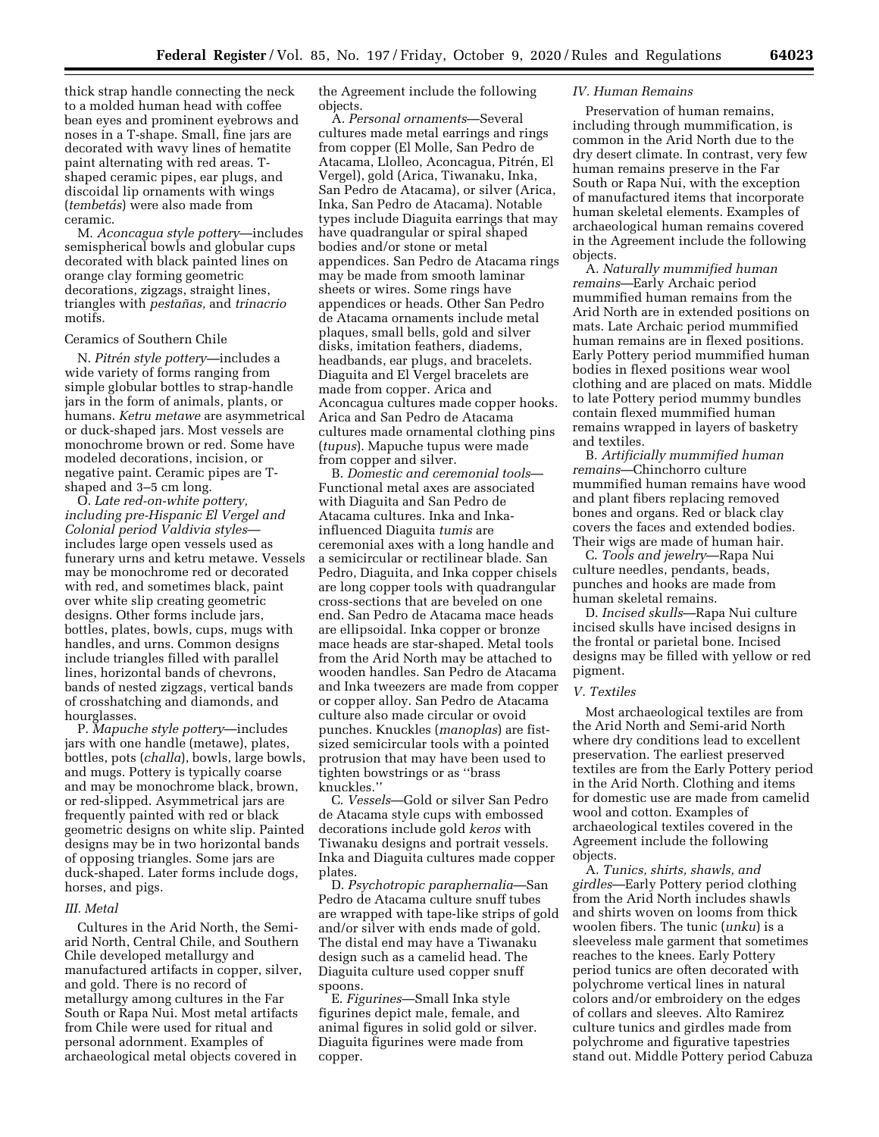thick strap handle connecting the neck to a molded human head with coffee bean eyes and prominent eyebrows and noses in a T-shape. Small, fine jars are decorated with wavy lines of hematite paint alternating with red areas. Tshaped ceramic pipes, ear plugs, and discoidal lip ornaments with wings (*tembetás*) were also made from ceramic.

M. *Aconcagua style pottery*—includes semispherical bowls and globular cups decorated with black painted lines on orange clay forming geometric decorations, zigzags, straight lines, triangles with *pestan˜ as,* and *trinacrio*  motifs.

### Ceramics of Southern Chile

N. *Pitre´n style pottery—*includes a wide variety of forms ranging from simple globular bottles to strap-handle jars in the form of animals, plants, or humans. *Ketru metawe* are asymmetrical or duck-shaped jars. Most vessels are monochrome brown or red. Some have modeled decorations, incision, or negative paint. Ceramic pipes are Tshaped and 3–5 cm long.

O. *Late red-on-white pottery, including pre-Hispanic El Vergel and Colonial period Valdivia styles* includes large open vessels used as funerary urns and ketru metawe. Vessels may be monochrome red or decorated with red, and sometimes black, paint over white slip creating geometric designs. Other forms include jars, bottles, plates, bowls, cups, mugs with handles, and urns. Common designs include triangles filled with parallel lines, horizontal bands of chevrons, bands of nested zigzags, vertical bands of crosshatching and diamonds, and hourglasses.

P. *Mapuche style pottery*—includes jars with one handle (metawe), plates, bottles, pots (*challa*), bowls, large bowls, and mugs. Pottery is typically coarse and may be monochrome black, brown, or red-slipped. Asymmetrical jars are frequently painted with red or black geometric designs on white slip. Painted designs may be in two horizontal bands of opposing triangles. Some jars are duck-shaped. Later forms include dogs, horses, and pigs.

#### *III. Metal*

Cultures in the Arid North, the Semiarid North, Central Chile, and Southern Chile developed metallurgy and manufactured artifacts in copper, silver, and gold. There is no record of metallurgy among cultures in the Far South or Rapa Nui. Most metal artifacts from Chile were used for ritual and personal adornment. Examples of archaeological metal objects covered in

the Agreement include the following objects.

A. *Personal ornaments*—Several cultures made metal earrings and rings from copper (El Molle, San Pedro de Atacama, Llolleo, Aconcagua, Pitrén, El Vergel), gold (Arica, Tiwanaku, Inka, San Pedro de Atacama), or silver (Arica, Inka, San Pedro de Atacama). Notable types include Diaguita earrings that may have quadrangular or spiral shaped bodies and/or stone or metal appendices. San Pedro de Atacama rings may be made from smooth laminar sheets or wires. Some rings have appendices or heads. Other San Pedro de Atacama ornaments include metal plaques, small bells, gold and silver disks, imitation feathers, diadems, headbands, ear plugs, and bracelets. Diaguita and El Vergel bracelets are made from copper. Arica and Aconcagua cultures made copper hooks. Arica and San Pedro de Atacama cultures made ornamental clothing pins (*tupus*). Mapuche tupus were made from copper and silver.

B. *Domestic and ceremonial tools*— Functional metal axes are associated with Diaguita and San Pedro de Atacama cultures. Inka and Inkainfluenced Diaguita *tumis* are ceremonial axes with a long handle and a semicircular or rectilinear blade. San Pedro, Diaguita, and Inka copper chisels are long copper tools with quadrangular cross-sections that are beveled on one end. San Pedro de Atacama mace heads are ellipsoidal. Inka copper or bronze mace heads are star-shaped. Metal tools from the Arid North may be attached to wooden handles. San Pedro de Atacama and Inka tweezers are made from copper or copper alloy. San Pedro de Atacama culture also made circular or ovoid punches. Knuckles (*manoplas*) are fistsized semicircular tools with a pointed protrusion that may have been used to tighten bowstrings or as ''brass knuckles.''

C. *Vessels*—Gold or silver San Pedro de Atacama style cups with embossed decorations include gold *keros* with Tiwanaku designs and portrait vessels. Inka and Diaguita cultures made copper plates.

D. *Psychotropic paraphernalia*—San Pedro de Atacama culture snuff tubes are wrapped with tape-like strips of gold and/or silver with ends made of gold. The distal end may have a Tiwanaku design such as a camelid head. The Diaguita culture used copper snuff spoons.

E. *Figurines*—Small Inka style figurines depict male, female, and animal figures in solid gold or silver. Diaguita figurines were made from copper.

### *IV. Human Remains*

Preservation of human remains, including through mummification, is common in the Arid North due to the dry desert climate. In contrast, very few human remains preserve in the Far South or Rapa Nui, with the exception of manufactured items that incorporate human skeletal elements. Examples of archaeological human remains covered in the Agreement include the following objects.

A. *Naturally mummified human remains*—Early Archaic period mummified human remains from the Arid North are in extended positions on mats. Late Archaic period mummified human remains are in flexed positions. Early Pottery period mummified human bodies in flexed positions wear wool clothing and are placed on mats. Middle to late Pottery period mummy bundles contain flexed mummified human remains wrapped in layers of basketry and textiles.

B. *Artificially mummified human remains*—Chinchorro culture mummified human remains have wood and plant fibers replacing removed bones and organs. Red or black clay covers the faces and extended bodies. Their wigs are made of human hair.

C. *Tools and jewelry*—Rapa Nui culture needles, pendants, beads, punches and hooks are made from human skeletal remains.

D. *Incised skulls*—Rapa Nui culture incised skulls have incised designs in the frontal or parietal bone. Incised designs may be filled with yellow or red pigment.

#### *V. Textiles*

Most archaeological textiles are from the Arid North and Semi-arid North where dry conditions lead to excellent preservation. The earliest preserved textiles are from the Early Pottery period in the Arid North. Clothing and items for domestic use are made from camelid wool and cotton. Examples of archaeological textiles covered in the Agreement include the following objects.

A. *Tunics, shirts, shawls, and girdles*—Early Pottery period clothing from the Arid North includes shawls and shirts woven on looms from thick woolen fibers. The tunic (*unku*) is a sleeveless male garment that sometimes reaches to the knees. Early Pottery period tunics are often decorated with polychrome vertical lines in natural colors and/or embroidery on the edges of collars and sleeves. Alto Ramirez culture tunics and girdles made from polychrome and figurative tapestries stand out. Middle Pottery period Cabuza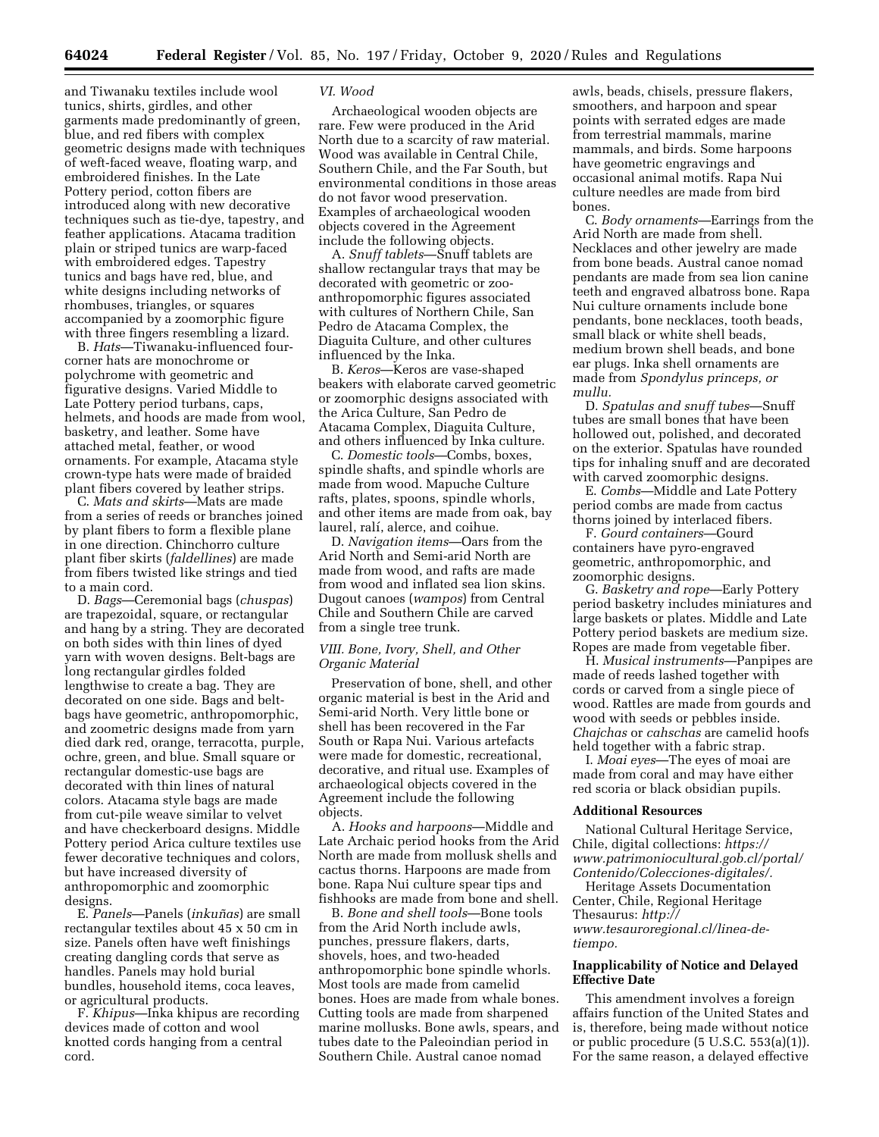and Tiwanaku textiles include wool tunics, shirts, girdles, and other garments made predominantly of green, blue, and red fibers with complex geometric designs made with techniques of weft-faced weave, floating warp, and embroidered finishes. In the Late Pottery period, cotton fibers are introduced along with new decorative techniques such as tie-dye, tapestry, and feather applications. Atacama tradition plain or striped tunics are warp-faced with embroidered edges. Tapestry tunics and bags have red, blue, and white designs including networks of rhombuses, triangles, or squares accompanied by a zoomorphic figure with three fingers resembling a lizard.

B. *Hats*—Tiwanaku-influenced fourcorner hats are monochrome or polychrome with geometric and figurative designs. Varied Middle to Late Pottery period turbans, caps, helmets, and hoods are made from wool, basketry, and leather. Some have attached metal, feather, or wood ornaments. For example, Atacama style crown-type hats were made of braided plant fibers covered by leather strips.

C. *Mats and skirts*—Mats are made from a series of reeds or branches joined by plant fibers to form a flexible plane in one direction. Chinchorro culture plant fiber skirts (*faldellines*) are made from fibers twisted like strings and tied to a main cord.

D. *Bags*—Ceremonial bags (*chuspas*) are trapezoidal, square, or rectangular and hang by a string. They are decorated on both sides with thin lines of dyed yarn with woven designs. Belt-bags are long rectangular girdles folded lengthwise to create a bag. They are decorated on one side. Bags and beltbags have geometric, anthropomorphic, and zoometric designs made from yarn died dark red, orange, terracotta, purple, ochre, green, and blue. Small square or rectangular domestic-use bags are decorated with thin lines of natural colors. Atacama style bags are made from cut-pile weave similar to velvet and have checkerboard designs. Middle Pottery period Arica culture textiles use fewer decorative techniques and colors, but have increased diversity of anthropomorphic and zoomorphic designs.

E. *Panels*—Panels (*inkun˜ as*) are small rectangular textiles about 45 x 50 cm in size. Panels often have weft finishings creating dangling cords that serve as handles. Panels may hold burial bundles, household items, coca leaves, or agricultural products.

F. *Khipus*—Inka khipus are recording devices made of cotton and wool knotted cords hanging from a central cord.

#### *VI. Wood*

Archaeological wooden objects are rare. Few were produced in the Arid North due to a scarcity of raw material. Wood was available in Central Chile, Southern Chile, and the Far South, but environmental conditions in those areas do not favor wood preservation. Examples of archaeological wooden objects covered in the Agreement include the following objects.

A. *Snuff tablets*—Snuff tablets are shallow rectangular trays that may be decorated with geometric or zooanthropomorphic figures associated with cultures of Northern Chile, San Pedro de Atacama Complex, the Diaguita Culture, and other cultures influenced by the Inka.

B. *Keros*—Keros are vase-shaped beakers with elaborate carved geometric or zoomorphic designs associated with the Arica Culture, San Pedro de Atacama Complex, Diaguita Culture, and others influenced by Inka culture.

C. *Domestic tools*—Combs, boxes, spindle shafts, and spindle whorls are made from wood. Mapuche Culture rafts, plates, spoons, spindle whorls, and other items are made from oak, bay laurel, ralí, alerce, and coihue.

D. *Navigation items*—Oars from the Arid North and Semi-arid North are made from wood, and rafts are made from wood and inflated sea lion skins. Dugout canoes (*wampos*) from Central Chile and Southern Chile are carved from a single tree trunk.

## *VIII. Bone, Ivory, Shell, and Other Organic Material*

Preservation of bone, shell, and other organic material is best in the Arid and Semi-arid North. Very little bone or shell has been recovered in the Far South or Rapa Nui. Various artefacts were made for domestic, recreational, decorative, and ritual use. Examples of archaeological objects covered in the Agreement include the following objects.

A. *Hooks and harpoons*—Middle and Late Archaic period hooks from the Arid North are made from mollusk shells and cactus thorns. Harpoons are made from bone. Rapa Nui culture spear tips and fishhooks are made from bone and shell.

B. *Bone and shell tools*—Bone tools from the Arid North include awls, punches, pressure flakers, darts, shovels, hoes, and two-headed anthropomorphic bone spindle whorls. Most tools are made from camelid bones. Hoes are made from whale bones. Cutting tools are made from sharpened marine mollusks. Bone awls, spears, and tubes date to the Paleoindian period in Southern Chile. Austral canoe nomad

awls, beads, chisels, pressure flakers, smoothers, and harpoon and spear points with serrated edges are made from terrestrial mammals, marine mammals, and birds. Some harpoons have geometric engravings and occasional animal motifs. Rapa Nui culture needles are made from bird bones.

C. *Body ornaments*—Earrings from the Arid North are made from shell. Necklaces and other jewelry are made from bone beads. Austral canoe nomad pendants are made from sea lion canine teeth and engraved albatross bone. Rapa Nui culture ornaments include bone pendants, bone necklaces, tooth beads, small black or white shell beads, medium brown shell beads, and bone ear plugs. Inka shell ornaments are made from *Spondylus princeps, or mullu.* 

D. *Spatulas and snuff tubes*—Snuff tubes are small bones that have been hollowed out, polished, and decorated on the exterior. Spatulas have rounded tips for inhaling snuff and are decorated with carved zoomorphic designs.

E. *Combs*—Middle and Late Pottery period combs are made from cactus thorns joined by interlaced fibers.

F. *Gourd containers*—Gourd containers have pyro-engraved geometric, anthropomorphic, and zoomorphic designs.

G. *Basketry and rope*—Early Pottery period basketry includes miniatures and large baskets or plates. Middle and Late Pottery period baskets are medium size. Ropes are made from vegetable fiber.

H. *Musical instruments*—Panpipes are made of reeds lashed together with cords or carved from a single piece of wood. Rattles are made from gourds and wood with seeds or pebbles inside. *Chajchas* or *cahschas* are camelid hoofs held together with a fabric strap.

I. *Moai eyes*—The eyes of moai are made from coral and may have either red scoria or black obsidian pupils.

### **Additional Resources**

National Cultural Heritage Service, Chile, digital collections: *[https://](https://www.patrimoniocultural.gob.cl/portal/Contenido/Colecciones-digitales/) [www.patrimoniocultural.gob.cl/portal/](https://www.patrimoniocultural.gob.cl/portal/Contenido/Colecciones-digitales/)  [Contenido/Colecciones-digitales/.](https://www.patrimoniocultural.gob.cl/portal/Contenido/Colecciones-digitales/)* 

Heritage Assets Documentation Center, Chile, Regional Heritage Thesaurus: *[http://](http://www.tesauroregional.cl/linea-de-tiempo) [www.tesauroregional.cl/linea-de](http://www.tesauroregional.cl/linea-de-tiempo)[tiempo.](http://www.tesauroregional.cl/linea-de-tiempo)* 

## **Inapplicability of Notice and Delayed Effective Date**

This amendment involves a foreign affairs function of the United States and is, therefore, being made without notice or public procedure (5 U.S.C. 553(a)(1)). For the same reason, a delayed effective